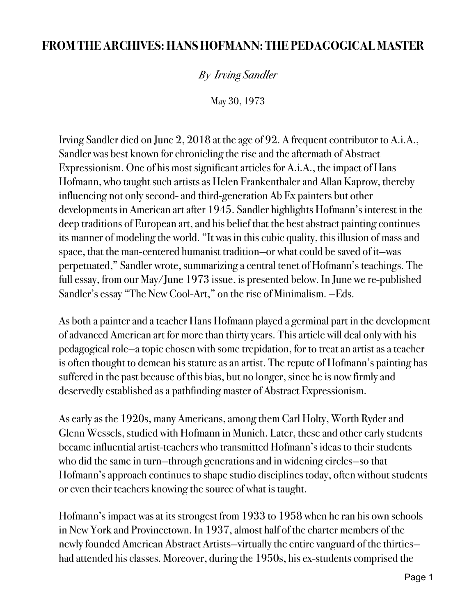## **FROM THE ARCHIVES: HANS HOFMANN: THE PEDAGOGICAL MASTER**

*By Irving Sandler* 

May 30, 1973

Irving Sandler died on June 2, 2018 at the age of 92. A frequent contributor to A.i.A., Sandler was best known for chronicling the rise and the aftermath of Abstract Expressionism. One of his most significant articles for A.i.A., the impact of Hans Hofmann, who taught such artists as Helen Frankenthaler and Allan Kaprow, thereby influencing not only second- and third-generation Ab Ex painters but other developments in American art after 1945. Sandler highlights Hofmann's interest in the deep traditions of European art, and his belief that the best abstract painting continues its manner of modeling the world. "It was in this cubic quality, this illusion of mass and space, that the man-centered humanist tradition—or what could be saved of it—was perpetuated," Sandler wrote, summarizing a central tenet of Hofmann's teachings. The full essay, from our May/June 1973 issue, is presented below. In June we re-published Sandler's essay "The New Cool-Art," on the rise of Minimalism. —Eds.

As both a painter and a teacher Hans Hofmann played a germinal part in the development of advanced American art for more than thirty years. This article will deal only with his pedagogical role—a topic chosen with some trepidation, for to treat an artist as a teacher is often thought to demean his stature as an artist. The repute of Hofmann's painting has suffered in the past because of this bias, but no longer, since he is now firmly and deservedly established as a pathfinding master of Abstract Expressionism.

As early as the 1920s, many Americans, among them Carl Holty, Worth Ryder and Glenn Wessels, studied with Hofmann in Munich. Later, these and other early students became influential artist-teachers who transmitted Hofmann's ideas to their students who did the same in turn—through generations and in widening circles—so that Hofmann's approach continues to shape studio disciplines today, often without students or even their teachers knowing the source of what is taught.

Hofmann's impact was at its strongest from 1933 to 1958 when he ran his own schools in New York and Provincetown. In 1937, almost half of the charter members of the newly founded American Abstract Artists—virtually the entire vanguard of the thirties had attended his classes. Moreover, during the 1950s, his ex-students comprised the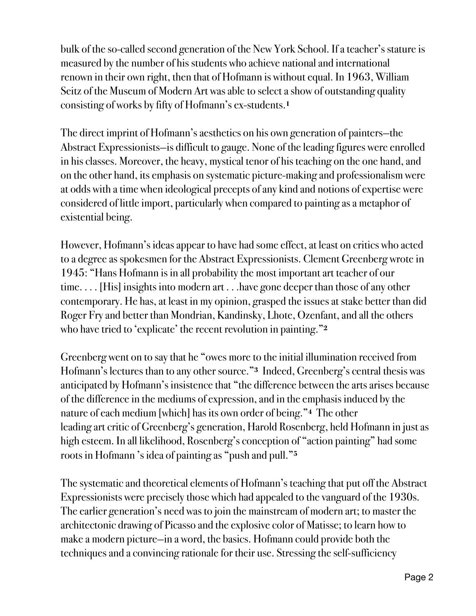bulk of the so-called second generation of the New York School. If a teacher's stature is measured by the number of his students who achieve national and international renown in their own right, then that of Hofmann is without equal. In 1963, William Seitz of the Museum of Modern Art was able to select a show of outstanding quality consisting of works by fifty of Hofmann's ex-students.**<sup>1</sup>**

The direct imprint of Hofmann's aesthetics on his own generation of painters—the Abstract Expressionists—is difficult to gauge. None of the leading figures were enrolled in his classes. Moreover, the heavy, mystical tenor of his teaching on the one hand, and on the other hand, its emphasis on systematic picture-making and professionalism were at odds with a time when ideological precepts of any kind and notions of expertise were considered of little import, particularly when compared to painting as a metaphor of existential being.

However, Hofmann's ideas appear to have had some effect, at least on critics who acted to a degree as spokesmen for the Abstract Expressionists. Clement Greenberg wrote in 1945: "Hans Hofmann is in all probability the most important art teacher of our time. . . . [His] insights into modern art . . .have gone deeper than those of any other contemporary. He has, at least in my opinion, grasped the issues at stake better than did Roger Fry and better than Mondrian, Kandinsky, Lhote, Ozenfant, and all the others who have tried to 'explicate' the recent revolution in painting."**<sup>2</sup>**

Greenberg went on to say that he "owes more to the initial illumination received from Hofmann's lectures than to any other source."**3** Indeed, Greenberg's central thesis was anticipated by Hofmann's insistence that "the difference between the arts arises because of the difference in the mediums of expression, and in the emphasis induced by the nature of each medium [which] has its own order of being."**4** The other leading art critic of Greenberg's generation, Harold Rosenberg, held Hofmann in just as high esteem. In all likelihood, Rosenberg's conception of "action painting" had some roots in Hofmann 's idea of painting as "push and pull."**<sup>5</sup>**

The systematic and theoretical elements of Hofmann's teaching that put off the Abstract Expressionists were precisely those which had appealed to the vanguard of the 1930s. The earlier generation's need was to join the mainstream of modern art; to master the architectonic drawing of Picasso and the explosive color of Matisse; to learn how to make a modern picture—in a word, the basics. Hofmann could provide both the techniques and a convincing rationale for their use. Stressing the self-sufficiency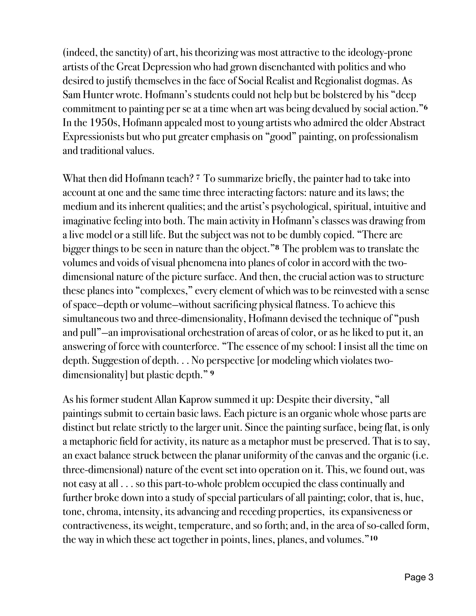(indeed, the sanctity) of art, his theorizing was most attractive to the ideology-prone artists of the Great Depression who had grown disenchanted with politics and who desired to justify themselves in the face of Social Realist and Regionalist dogmas. As Sam Hunter wrote. Hofmann's students could not help but be bolstered by his "deep commitment to painting per se at a time when art was being devalued by social action."**<sup>6</sup>** In the 1950s, Hofmann appealed most to young artists who admired the older Abstract Expressionists but who put greater emphasis on "good" painting, on professionalism and traditional values.

What then did Hofmann teach? **7** To summarize briefly, the painter had to take into account at one and the same time three interacting factors: nature and its laws; the medium and its inherent qualities; and the artist's psychological, spiritual, intuitive and imaginative feeling into both. The main activity in Hofmann's classes was drawing from a live model or a still life. But the subject was not to be dumbly copied. "There are bigger things to be seen in nature than the object."**8** The problem was to translate the volumes and voids of visual phenomena into planes of color in accord with the twodimensional nature of the picture surface. And then, the crucial action was to structure these planes into "complexes," every element of which was to be reinvested with a sense of space—depth or volume—without sacrificing physical flatness. To achieve this simultaneous two and three-dimensionality, Hofmann devised the technique of "push and pull"—an improvisational orchestration of areas of color, or as he liked to put it, an answering of force with counterforce. "The essence of my school: I insist all the time on depth. Suggestion of depth. . . No perspective [or modeling which violates twodimensionality] but plastic depth." **<sup>9</sup>**

As his former student Allan Kaprow summed it up: Despite their diversity, "all paintings submit to certain basic laws. Each picture is an organic whole whose parts are distinct but relate strictly to the larger unit. Since the painting surface, being flat, is only a metaphoric field for activity, its nature as a metaphor must be preserved. That is to say, an exact balance struck between the planar uniformity of the canvas and the organic (i.e. three-dimensional) nature of the event set into operation on it. This, we found out, was not easy at all . . . so this part-to-whole problem occupied the class continually and further broke down into a study of special particulars of all painting; color, that is, hue, tone, chroma, intensity, its advancing and receding properties, its expansiveness or contractiveness, its weight, temperature, and so forth; and, in the area of so-called form, the way in which these act together in points, lines, planes, and volumes."**10**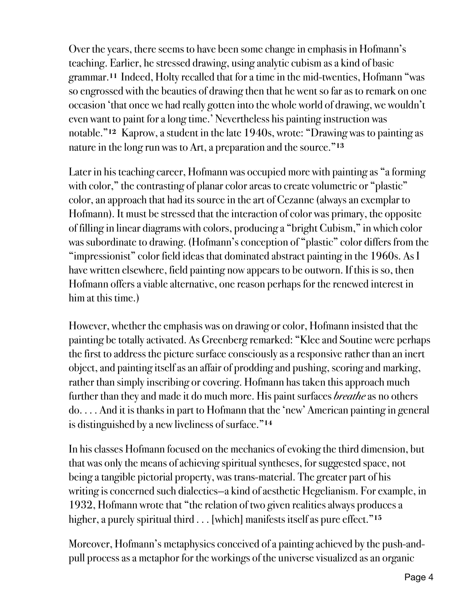Over the years, there seems to have been some change in emphasis in Hofmann's teaching. Earlier, he stressed drawing, using analytic cubism as a kind of basic grammar.**11** Indeed, Holty recalled that for a time in the mid-twenties, Hofmann "was so engrossed with the beauties of drawing then that he went so far as to remark on one occasion 'that once we had really gotten into the whole world of drawing, we wouldn't even want to paint for a long time.' Nevertheless his painting instruction was notable."**12** Kaprow, a student in the late 1940s, wrote: "Drawing was to painting as nature in the long run was to Art, a preparation and the source."**<sup>13</sup>**

Later in his teaching career, Hofmann was occupied more with painting as "a forming with color," the contrasting of planar color areas to create volumetric or "plastic" color, an approach that had its source in the art of Cezanne (always an exemplar to Hofmann). It must be stressed that the interaction of color was primary, the opposite of filling in linear diagrams with colors, producing a "bright Cubism," in which color was subordinate to drawing. (Hofmann's conception of "plastic" color differs from the "impressionist" color field ideas that dominated abstract painting in the 1960s. As I have written elsewhere, field painting now appears to be outworn. If this is so, then Hofmann offers a viable alternative, one reason perhaps for the renewed interest in him at this time.)

However, whether the emphasis was on drawing or color, Hofmann insisted that the painting be totally activated. As Greenberg remarked: "Klee and Soutine were perhaps the first to address the picture surface consciously as a responsive rather than an inert object, and painting itself as an affair of prodding and pushing, scoring and marking, rather than simply inscribing or covering. Hofmann has taken this approach much further than they and made it do much more. His paint surfaces *breathe* as no others do. . . . And it is thanks in part to Hofmann that the 'new' American painting in general is distinguished by a new liveliness of surface."**<sup>14</sup>**

In his classes Hofmann focused on the mechanics of evoking the third dimension, but that was only the means of achieving spiritual syntheses, for suggested space, not being a tangible pictorial property, was trans-material. The greater part of his writing is concerned such dialectics—a kind of aesthetic Hegelianism. For example, in 1932, Hofmann wrote that "the relation of two given realities always produces a higher, a purely spiritual third . . . [which] manifests itself as pure effect."**<sup>15</sup>**

Moreover, Hofmann's metaphysics conceived of a painting achieved by the push-andpull process as a metaphor for the workings of the universe visualized as an organic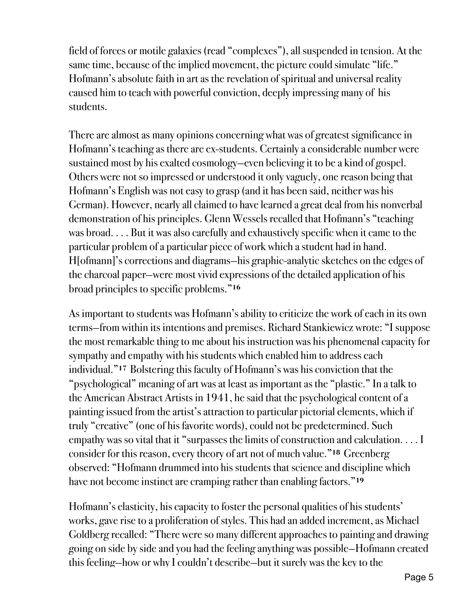field of forces or motile galaxies (read "complexes"), all suspended in tension. At the same time, because of the implied movement, the picture could simulate "life." Hofmann's absolute faith in art as the revelation of spiritual and universal reality caused him to teach with powerful conviction, deeply impressing many of his students.

There are almost as many opinions concerning what was of greatest significance in Hofmann's teaching as there are ex-students. Certainly a considerable number were sustained most by his exalted cosmology—even believing it to be a kind of gospel. Others were not so impressed or understood it only vaguely, one reason being that Hofmann's English was not easy to grasp (and it has been said, neither was his German). However, nearly all claimed to have learned a great deal from his nonverbal demonstration of his principles. Glenn Wessels recalled that Hofmann's "teaching was broad. . . . But it was also carefully and exhaustively specific when it came to the particular problem of a particular piece of work which a student had in hand. H[ofmann]'s corrections and diagrams—his graphic-analytic sketches on the edges of the charcoal paper—were most vivid expressions of the detailed application of his broad principles to specific problems."**<sup>16</sup>**

As important to students was Hofmann's ability to criticize the work of each in its own terms—from within its intentions and premises. Richard Stankiewicz wrote: "I suppose the most remarkable thing to me about his instruction was his phenomenal capacity for sympathy and empathy with his students which enabled him to address each individual."**17** Bolstering this faculty of Hofmann's was his conviction that the "psychological" meaning of art was at least as important as the "plastic." In a talk to the American Abstract Artists in 1941, he said that the psychological content of a painting issued from the artist's attraction to particular pictorial elements, which if truly "creative" (one of his favorite words), could not be predetermined. Such empathy was so vital that it "surpasses the limits of construction and calculation. . . . I consider for this reason, every theory of art not of much value."**18** Greenberg observed: "Hofmann drummed into his students that science and discipline which have not become instinct are cramping rather than enabling factors."**<sup>19</sup>**

Hofmann's elasticity, his capacity to foster the personal qualities of his students' works, gave rise to a proliferation of styles. This had an added increment, as Michael Goldberg recalled: "There were so many different approaches to painting and drawing going on side by side and you had the feeling anything was possible—Hofmann created this feeling—how or why I couldn't describe—but it surely was the key to the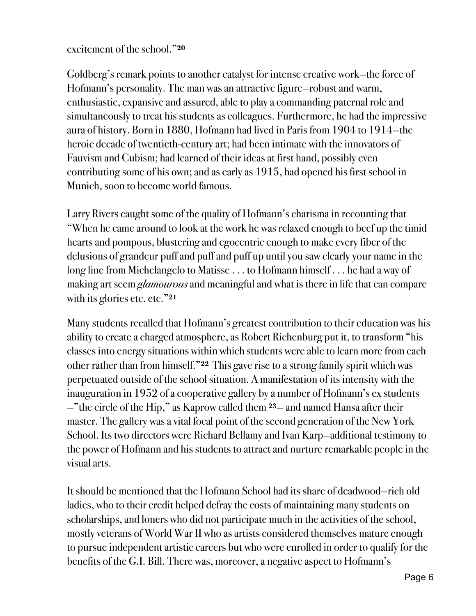## excitement of the school."**<sup>20</sup>**

Goldberg's remark points to another catalyst for intense creative work—the force of Hofmann's personality. The man was an attractive figure—robust and warm, enthusiastic, expansive and assured, able to play a commanding paternal role and simultaneously to treat his students as colleagues. Furthermore, he had the impressive aura of history. Born in 1880, Hofmann had lived in Paris from 1904 to 1914—the heroic decade of twentieth-century art; had been intimate with the innovators of Fauvism and Cubism; had learned of their ideas at first hand, possibly even contributing some of his own; and as early as 1915, had opened his first school in Munich, soon to become world famous.

Larry Rivers caught some of the quality of Hofmann's charisma in recounting that "When he came around to look at the work he was relaxed enough to beef up the timid hearts and pompous, blustering and egocentric enough to make every fiber of the delusions of grandeur puff and puff and puff up until you saw clearly your name in the long line from Michelangelo to Matisse . . . to Hofmann himself . . . he had a way of making art seem *glamourous* and meaningful and what is there in life that can compare with its glories etc. etc."**<sup>21</sup>**

Many students recalled that Hofmann's greatest contribution to their education was his ability to create a charged atmosphere, as Robert Richenburg put it, to transform "his classes into energy situations within which students were able to learn more from each other rather than from himself."**22** This gave rise to a strong family spirit which was perpetuated outside of the school situation. A manifestation of its intensity with the inauguration in 1952 of a cooperative gallery by a number of Hofmann's ex students —"the circle of the Hip," as Kaprow called them **23**— and named Hansa after their master. The gallery was a vital focal point of the second generation of the New York School. Its two directors were Richard Bellamy and Ivan Karp—additional testimony to the power of Hofmann and his students to attract and nurture remarkable people in the visual arts.

It should be mentioned that the Hofmann School had its share of deadwood—rich old ladies, who to their credit helped defray the costs of maintaining many students on scholarships, and loners who did not participate much in the activities of the school, mostly veterans of World War II who as artists considered themselves mature enough to pursue independent artistic careers but who were enrolled in order to qualify for the benefits of the G.I. Bill. There was, moreover, a negative aspect to Hofmann's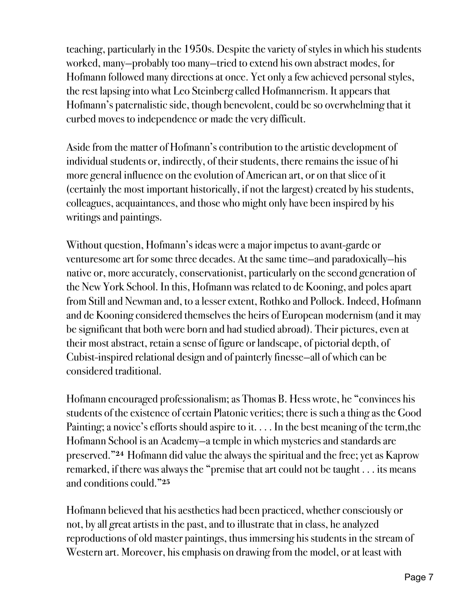teaching, particularly in the 1950s. Despite the variety of styles in which his students worked, many—probably too many—tried to extend his own abstract modes, for Hofmann followed many directions at once. Yet only a few achieved personal styles, the rest lapsing into what Leo Steinberg called Hofmannerism. It appears that Hofmann's paternalistic side, though benevolent, could be so overwhelming that it curbed moves to independence or made the very difficult.

Aside from the matter of Hofmann's contribution to the artistic development of individual students or, indirectly, of their students, there remains the issue of hi more general influence on the evolution of American art, or on that slice of it (certainly the most important historically, if not the largest) created by his students, colleagues, acquaintances, and those who might only have been inspired by his writings and paintings.

Without question, Hofmann's ideas were a major impetus to avant-garde or venturesome art for some three decades. At the same time—and paradoxically—his native or, more accurately, conservationist, particularly on the second generation of the New York School. In this, Hofmann was related to de Kooning, and poles apart from Still and Newman and, to a lesser extent, Rothko and Pollock. Indeed, Hofmann and de Kooning considered themselves the heirs of European modernism (and it may be significant that both were born and had studied abroad). Their pictures, even at their most abstract, retain a sense of figure or landscape, of pictorial depth, of Cubist-inspired relational design and of painterly finesse—all of which can be considered traditional.

Hofmann encouraged professionalism; as Thomas B. Hess wrote, he "convinces his students of the existence of certain Platonic verities; there is such a thing as the Good Painting; a novice's efforts should aspire to it. . . . In the best meaning of the term,the Hofmann School is an Academy—a temple in which mysteries and standards are preserved."**24** Hofmann did value the always the spiritual and the free; yet as Kaprow remarked, if there was always the "premise that art could not be taught . . . its means and conditions could."**<sup>25</sup>**

Hofmann believed that his aesthetics had been practiced, whether consciously or not, by all great artists in the past, and to illustrate that in class, he analyzed reproductions of old master paintings, thus immersing his students in the stream of Western art. Moreover, his emphasis on drawing from the model, or at least with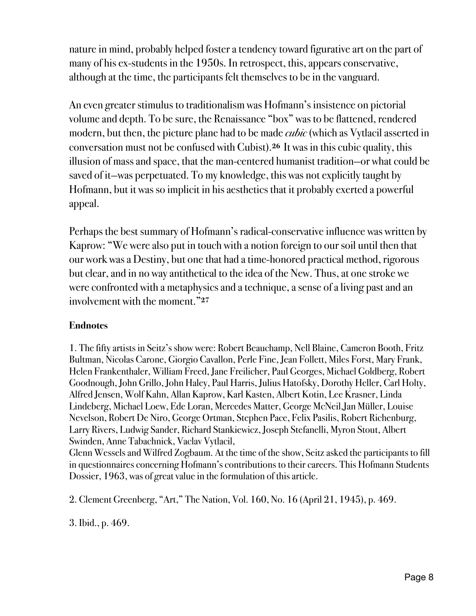nature in mind, probably helped foster a tendency toward figurative art on the part of many of his ex-students in the 1950s. In retrospect, this, appears conservative, although at the time, the participants felt themselves to be in the vanguard.

An even greater stimulus to traditionalism was Hofmann's insistence on pictorial volume and depth. To be sure, the Renaissance "box" was to be flattened, rendered modern, but then, the picture plane had to be made *cubic* (which as Vytlacil asserted in conversation must not be confused with Cubist).**26** It was in this cubic quality, this illusion of mass and space, that the man-centered humanist tradition—or what could be saved of it—was perpetuated. To my knowledge, this was not explicitly taught by Hofmann, but it was so implicit in his aesthetics that it probably exerted a powerful appeal.

Perhaps the best summary of Hofmann's radical-conservative influence was written by Kaprow: "We were also put in touch with a notion foreign to our soil until then that our work was a Destiny, but one that had a time-honored practical method, rigorous but clear, and in no way antithetical to the idea of the New. Thus, at one stroke we were confronted with a metaphysics and a technique, a sense of a living past and an involvement with the moment."**<sup>27</sup>**

## **Endnotes**

1. The fifty artists in Seitz's show were: Robert Beauchamp, Nell Blaine, Cameron Booth, Fritz Bultman, Nicolas Carone, Giorgio Cavallon, Perle Fine, Jean Follett, Miles Forst, Mary Frank, Helen Frankenthaler, William Freed, Jane Freilicher, Paul Georges, Michael Goldberg, Robert Goodnough, John Grillo, John Haley, Paul Harris, Julius Hatofsky, Dorothy Heller, Carl Holty, Alfred Jensen, Wolf Kahn, Allan Kaprow, Karl Kasten, Albert Kotin, Lee Krasner, Linda Lindeberg, Michael Loew, Ede Loran, Mercedes Matter, George McNeil,Jan Müller, Louise Nevelson, Robert De Niro, George Ortman, Stephen Pace, Felix Pasilis, Robert Richenburg, Larry Rivers, Ludwig Sander, Richard Stankiewicz, Joseph Stefanelli, Myron Stout, Albert Swinden, Anne Tabachnick, Vaclav Vytlacil,

Glenn Wessels and Wilfred Zogbaum. At the time of the show, Seitz asked the participants to fill in questionnaires concerning Hofmann's contributions to their careers. This Hofmann Students Dossier, 1963, was of great value in the formulation of this article.

2. Clement Greenberg, "Art," The Nation, Vol. 160, No. 16 (April 21, 1945), p. 469.

3. Ibid., p. 469.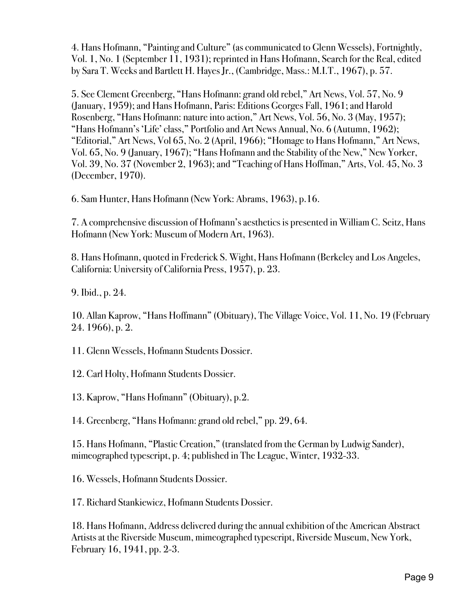4. Hans Hofmann, "Painting and Culture" (as communicated to Glenn Wessels), Fortnightly, Vol. 1, No. 1 (September 11, 1931); reprinted in Hans Hofmann, Search for the Real, edited by Sara T. Weeks and Bartlett H. Hayes Jr., (Cambridge, Mass.: M.I.T., 1967), p. 57.

5. See Clement Greenberg, "Hans Hofmann: grand old rebel," Art News, Vol. 57, No. 9 (January, 1959); and Hans Hofmann, Paris: Editions Georges Fall, 1961; and Harold Rosenberg, "Hans Hofmann: nature into action," Art News, Vol. 56, No. 3 (May, 1957); "Hans Hofmann's 'Life' class," Portfolio and Art News Annual, No. 6 (Autumn, 1962); "Editorial," Art News, Vol 65, No. 2 (April, 1966); "Homage to Hans Hofmann," Art News, Vol. 65, No. 9 (January, 1967); "Hans Hofmann and the Stability of the New," New Yorker, Vol. 39, No. 37 (November 2, 1963); and "Teaching of Hans Hoffman," Arts, Vol. 45, No. 3 (December, 1970).

6. Sam Hunter, Hans Hofmann (New York: Abrams, 1963), p.16.

7. A comprehensive discussion of Hofmann's aesthetics is presented in William C. Seitz, Hans Hofmann (New York: Museum of Modern Art, 1963).

8. Hans Hofmann, quoted in Frederick S. Wight, Hans Hofmann (Berkeley and Los Angeles, California: University of California Press, 1957), p. 23.

9. Ibid., p. 24.

10. Allan Kaprow, "Hans Hoffmann" (Obituary), The Village Voice, Vol. 11, No. 19 (February 24. 1966), p. 2.

11. Glenn Wessels, Hofmann Students Dossier.

12. Carl Holty, Hofmann Students Dossier.

13. Kaprow, "Hans Hofmann" (Obituary), p.2.

14. Greenberg, "Hans Hofmann: grand old rebel," pp. 29, 64.

15. Hans Hofmann, "Plastic Creation," (translated from the German by Ludwig Sander), mimeographed typescript, p. 4; published in The League, Winter, 1932-33.

16. Wessels, Hofmann Students Dossier.

17. Richard Stankiewicz, Hofmann Students Dossier.

18. Hans Hofmann, Address delivered during the annual exhibition of the American Abstract Artists at the Riverside Museum, mimeographed typescript, Riverside Museum, New York, February 16, 1941, pp. 2-3.